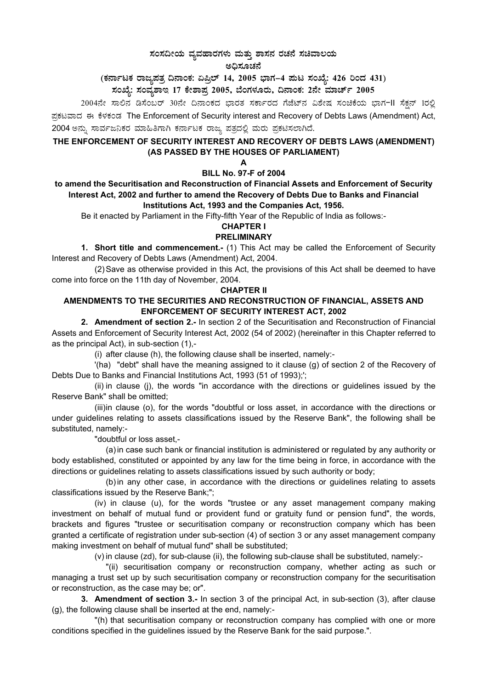# 

2004ನೇ ಸಾಲಿನ ಡಿಸೆಂಬರ್ 30ನೇ ದಿನಾಂಕದ ಭಾರತ ಸರ್ಕಾರದ ಗೆಜೆಟ್ನ ವಿಶೇಷ ಸಂಚಿಕೆಯ ಭಾಗ-II ಸೆಕ್ಷನ್ 1ರಲ್ಲಿ ಪ್ರಕಟವಾದ ಈ ಕೆಳಕಂಡ The Enforcement of Security interest and Recovery of Debts Laws (Amendment) Act, 2004 ಅನ್ನು ಸಾರ್ವಜನಿಕರ ಮಾಹಿತಿಗಾಗಿ ಕರ್ನಾಟಕ ರಾಜ್ಯ ಪತ್ರದಲ್ಲಿ ಮರು ಪ್ರಕಟಿಸಲಾಗಿದೆ.

# THE ENFORCEMENT OF SECURITY INTEREST AND RECOVERY OF DEBTS LAWS (AMENDMENT) (AS PASSED BY THE HOUSES OF PARLIAMENT)

# **BILL No. 97-F of 2004**

### to amend the Securitisation and Reconstruction of Financial Assets and Enforcement of Security Interest Act, 2002 and further to amend the Recovery of Debts Due to Banks and Financial Institutions Act, 1993 and the Companies Act, 1956.

Be it enacted by Parliament in the Fifty-fifth Year of the Republic of India as follows:-

#### **CHAPTER I**

### **PRELIMINARY**

1. Short title and commencement.- (1) This Act may be called the Enforcement of Security Interest and Recovery of Debts Laws (Amendment) Act, 2004.

(2) Save as otherwise provided in this Act, the provisions of this Act shall be deemed to have come into force on the 11th day of November, 2004.

#### **CHAPTER II**

## AMENDMENTS TO THE SECURITIES AND RECONSTRUCTION OF FINANCIAL, ASSETS AND **ENFORCEMENT OF SECURITY INTEREST ACT. 2002**

2. Amendment of section 2.- In section 2 of the Securitisation and Reconstruction of Financial Assets and Enforcement of Security Interest Act, 2002 (54 of 2002) (hereinafter in this Chapter referred to as the principal Act), in sub-section (1),-

(i) after clause (h), the following clause shall be inserted, namely:-

'(ha) "debt" shall have the meaning assigned to it clause (g) of section 2 of the Recovery of Debts Due to Banks and Financial Institutions Act, 1993 (51 of 1993);";

(ii) in clause (j), the words "in accordance with the directions or guidelines issued by the Reserve Bank" shall be omitted:

(iii)in clause (o), for the words "doubtful or loss asset, in accordance with the directions or under quidelines relating to assets classifications issued by the Reserve Bank", the following shall be substituted, namely:-

"doubtful or loss asset,-

(a) in case such bank or financial institution is administered or regulated by any authority or body established, constituted or appointed by any law for the time being in force, in accordance with the directions or guidelines relating to assets classifications issued by such authority or body;

(b) in any other case, in accordance with the directions or quidelines relating to assets classifications issued by the Reserve Bank;";

(iv) in clause (u), for the words "trustee or any asset management company making investment on behalf of mutual fund or provident fund or gratuity fund or pension fund", the words, brackets and figures "trustee or securitisation company or reconstruction company which has been granted a certificate of registration under sub-section (4) of section 3 or any asset management company making investment on behalf of mutual fund" shall be substituted;

(v) in clause (zd), for sub-clause (ii), the following sub-clause shall be substituted, namely:-

"(ii) securitisation company or reconstruction company, whether acting as such or managing a trust set up by such securitisation company or reconstruction company for the securitisation or reconstruction, as the case may be: or".

3. Amendment of section 3.- In section 3 of the principal Act, in sub-section (3), after clause (g), the following clause shall be inserted at the end, namely:-

"(h) that securitisation company or reconstruction company has complied with one or more conditions specified in the guidelines issued by the Reserve Bank for the said purpose.".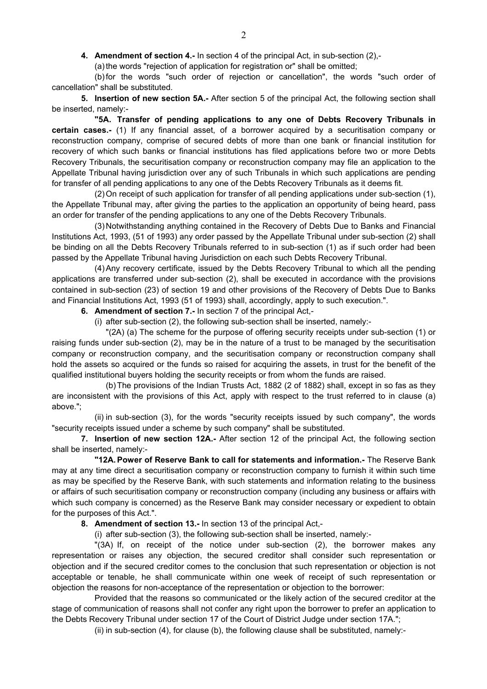**4. Amendment of section 4.-** In section 4 of the principal Act, in sub-section (2),-

(a) the words "rejection of application for registration or" shall be omitted;

(b) for the words "such order of rejection or cancellation", the words "such order of cancellation" shall be substituted.

**5. Insertion of new section 5A.-** After section 5 of the principal Act, the following section shall be inserted, namely:-

 **"5A. Transfer of pending applications to any one of Debts Recovery Tribunals in certain cases.-** (1) If any financial asset, of a borrower acquired by a securitisation company or reconstruction company, comprise of secured debts of more than one bank or financial institution for recovery of which such banks or financial institutions has filed applications before two or more Debts Recovery Tribunals, the securitisation company or reconstruction company may file an application to the Appellate Tribunal having jurisdiction over any of such Tribunals in which such applications are pending for transfer of all pending applications to any one of the Debts Recovery Tribunals as it deems fit.

(2) On receipt of such application for transfer of all pending applications under sub-section (1), the Appellate Tribunal may, after giving the parties to the application an opportunity of being heard, pass an order for transfer of the pending applications to any one of the Debts Recovery Tribunals.

(3) Notwithstanding anything contained in the Recovery of Debts Due to Banks and Financial Institutions Act, 1993, (51 of 1993) any order passed by the Appellate Tribunal under sub-section (2) shall be binding on all the Debts Recovery Tribunals referred to in sub-section (1) as if such order had been passed by the Appellate Tribunal having Jurisdiction on each such Debts Recovery Tribunal.

(4) Any recovery certificate, issued by the Debts Recovery Tribunal to which all the pending applications are transferred under sub-section (2), shall be executed in accordance with the provisions contained in sub-section (23) of section 19 and other provisions of the Recovery of Debts Due to Banks and Financial Institutions Act, 1993 (51 of 1993) shall, accordingly, apply to such execution.".

**6. Amendment of section 7.-** In section 7 of the principal Act,-

(i) after sub-section (2), the following sub-section shall be inserted, namely:-

"(2A) (a) The scheme for the purpose of offering security receipts under sub-section (1) or raising funds under sub-section (2), may be in the nature of a trust to be managed by the securitisation company or reconstruction company, and the securitisation company or reconstruction company shall hold the assets so acquired or the funds so raised for acquiring the assets, in trust for the benefit of the qualified institutional buyers holding the security receipts or from whom the funds are raised.

(b) The provisions of the Indian Trusts Act, 1882 (2 of 1882) shall, except in so fas as they are inconsistent with the provisions of this Act, apply with respect to the trust referred to in clause (a) above.";

(ii) in sub-section (3), for the words "security receipts issued by such company", the words "security receipts issued under a scheme by such company" shall be substituted.

**7. Insertion of new section 12A.-** After section 12 of the principal Act, the following section shall be inserted, namely:-

 **"12A. Power of Reserve Bank to call for statements and information.-** The Reserve Bank may at any time direct a securitisation company or reconstruction company to furnish it within such time as may be specified by the Reserve Bank, with such statements and information relating to the business or affairs of such securitisation company or reconstruction company (including any business or affairs with which such company is concerned) as the Reserve Bank may consider necessary or expedient to obtain for the purposes of this Act.".

**8. Amendment of section 13.-** In section 13 of the principal Act,-

(i) after sub-section (3), the following sub-section shall be inserted, namely:-

"(3A) If, on receipt of the notice under sub-section (2), the borrower makes any representation or raises any objection, the secured creditor shall consider such representation or objection and if the secured creditor comes to the conclusion that such representation or objection is not acceptable or tenable, he shall communicate within one week of receipt of such representation or objection the reasons for non-acceptance of the representation or objection to the borrower:

Provided that the reasons so communicated or the likely action of the secured creditor at the stage of communication of reasons shall not confer any right upon the borrower to prefer an application to the Debts Recovery Tribunal under section 17 of the Court of District Judge under section 17A.";

(ii) in sub-section (4), for clause (b), the following clause shall be substituted, namely:-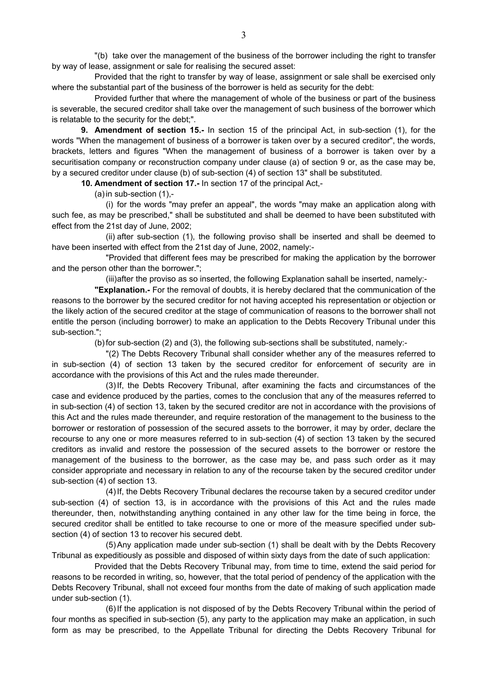"(b) take over the management of the business of the borrower including the right to transfer by way of lease, assignment or sale for realising the secured asset:

Provided that the right to transfer by way of lease, assignment or sale shall be exercised only where the substantial part of the business of the borrower is held as security for the debt:

Provided further that where the management of whole of the business or part of the business is severable, the secured creditor shall take over the management of such business of the borrower which is relatable to the security for the debt;".

**9. Amendment of section 15.-** In section 15 of the principal Act, in sub-section (1), for the words "When the management of business of a borrower is taken over by a secured creditor", the words, brackets, letters and figures "When the management of business of a borrower is taken over by a securitisation company or reconstruction company under clause (a) of section 9 or, as the case may be, by a secured creditor under clause (b) of sub-section (4) of section 13" shall be substituted.

**10. Amendment of section 17.-** In section 17 of the principal Act,-

(a) in sub-section (1),-

(i) for the words "may prefer an appeal", the words "may make an application along with such fee, as may be prescribed," shall be substituted and shall be deemed to have been substituted with effect from the 21st day of June, 2002;

(ii) after sub-section (1), the following proviso shall be inserted and shall be deemed to have been inserted with effect from the 21st day of June, 2002, namely:-

"Provided that different fees may be prescribed for making the application by the borrower and the person other than the borrower.";

(iii) after the proviso as so inserted, the following Explanation sahall be inserted, namely:-

 **"Explanation.-** For the removal of doubts, it is hereby declared that the communication of the reasons to the borrower by the secured creditor for not having accepted his representation or objection or the likely action of the secured creditor at the stage of communication of reasons to the borrower shall not entitle the person (including borrower) to make an application to the Debts Recovery Tribunal under this sub-section.";

(b) for sub-section (2) and (3), the following sub-sections shall be substituted, namely:-

"(2) The Debts Recovery Tribunal shall consider whether any of the measures referred to in sub-section (4) of section 13 taken by the secured creditor for enforcement of security are in accordance with the provisions of this Act and the rules made thereunder.

(3) If, the Debts Recovery Tribunal, after examining the facts and circumstances of the case and evidence produced by the parties, comes to the conclusion that any of the measures referred to in sub-section (4) of section 13, taken by the secured creditor are not in accordance with the provisions of this Act and the rules made thereunder, and require restoration of the management to the business to the borrower or restoration of possession of the secured assets to the borrower, it may by order, declare the recourse to any one or more measures referred to in sub-section (4) of section 13 taken by the secured creditors as invalid and restore the possession of the secured assets to the borrower or restore the management of the business to the borrower, as the case may be, and pass such order as it may consider appropriate and necessary in relation to any of the recourse taken by the secured creditor under sub-section (4) of section 13.

(4) If, the Debts Recovery Tribunal declares the recourse taken by a secured creditor under sub-section (4) of section 13, is in accordance with the provisions of this Act and the rules made thereunder, then, notwithstanding anything contained in any other law for the time being in force, the secured creditor shall be entitled to take recourse to one or more of the measure specified under subsection (4) of section 13 to recover his secured debt.

(5) Any application made under sub-section (1) shall be dealt with by the Debts Recovery Tribunal as expeditiously as possible and disposed of within sixty days from the date of such application:

Provided that the Debts Recovery Tribunal may, from time to time, extend the said period for reasons to be recorded in writing, so, however, that the total period of pendency of the application with the Debts Recovery Tribunal, shall not exceed four months from the date of making of such application made under sub-section (1).

(6) If the application is not disposed of by the Debts Recovery Tribunal within the period of four months as specified in sub-section (5), any party to the application may make an application, in such form as may be prescribed, to the Appellate Tribunal for directing the Debts Recovery Tribunal for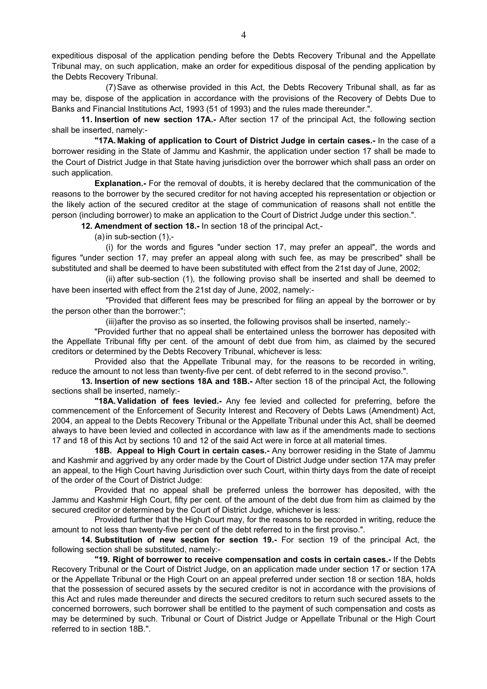expeditious disposal of the application pending before the Debts Recovery Tribunal and the Appellate Tribunal may, on such application, make an order for expeditious disposal of the pending application by the Debts Recovery Tribunal.

(7) Save as otherwise provided in this Act, the Debts Recovery Tribunal shall, as far as may be, dispose of the application in accordance with the provisions of the Recovery of Debts Due to Banks and Financial Institutions Act, 1993 (51 of 1993) and the rules made thereunder.".

**11. Insertion of new section 17A.-** After section 17 of the principal Act, the following section shall be inserted, namely:-

 **"17A. Making of application to Court of District Judge in certain cases.-** In the case of a borrower residing in the State of Jammu and Kashmir, the application under section 17 shall be made to the Court of District Judge in that State having jurisdiction over the borrower which shall pass an order on such application.

 **Explanation.-** For the removal of doubts, it is hereby declared that the communication of the reasons to the borrower by the secured creditor for not having accepted his representation or objection or the likely action of the secured creditor at the stage of communication of reasons shall not entitle the person (including borrower) to make an application to the Court of District Judge under this section.".

**12. Amendment of section 18.-** In section 18 of the principal Act,-

(a) in sub-section (1),-

(i) for the words and figures "under section 17, may prefer an appeal", the words and figures "under section 17, may prefer an appeal along with such fee, as may be prescribed" shall be substituted and shall be deemed to have been substituted with effect from the 21st day of June, 2002;

(ii) after sub-section (1), the following proviso shall be inserted and shall be deemed to have been inserted with effect from the 21st day of June, 2002, namely:-

"Provided that different fees may be prescribed for filing an appeal by the borrower or by the person other than the borrower:";

(iii) after the proviso as so inserted, the following provisos shall be inserted, namely:-

"Provided further that no appeal shall be entertained unless the borrower has deposited with the Appellate Tribunal fifty per cent. of the amount of debt due from him, as claimed by the secured creditors or determined by the Debts Recovery Tribunal, whichever is less:

Provided also that the Appellate Tribunal may, for the reasons to be recorded in writing, reduce the amount to not less than twenty-five per cent. of debt referred to in the second proviso.".

**13. Insertion of new sections 18A and 18B.-** After section 18 of the principal Act, the following sections shall be inserted, namely:-

 **"18A. Validation of fees levied.-** Any fee levied and collected for preferring, before the commencement of the Enforcement of Security Interest and Recovery of Debts Laws (Amendment) Act, 2004, an appeal to the Debts Recovery Tribunal or the Appellate Tribunal under this Act, shall be deemed always to have been levied and collected in accordance with law as if the amendments made to sections 17 and 18 of this Act by sections 10 and 12 of the said Act were in force at all material times.

 **18B. Appeal to High Court in certain cases.-** Any borrower residing in the State of Jammu and Kashmir and aggrived by any order made by the Court of District Judge under section 17A may prefer an appeal, to the High Court having Jurisdiction over such Court, within thirty days from the date of receipt of the order of the Court of District Judge:

Provided that no appeal shall be preferred unless the borrower has deposited, with the Jammu and Kashmir High Court, fifty per cent. of the amount of the debt due from him as claimed by the secured creditor or determined by the Court of District Judge, whichever is less:

Provided further that the High Court may, for the reasons to be recorded in writing, reduce the amount to not less than twenty-five per cent of the debt referred to in the first proviso.".

**14. Substitution of new section for section 19.-** For section 19 of the principal Act, the following section shall be substituted, namely:-

 **"19. Right of borrower to receive compensation and costs in certain cases.-** If the Debts Recovery Tribunal or the Court of District Judge, on an application made under section 17 or section 17A or the Appellate Tribunal or the High Court on an appeal preferred under section 18 or section 18A, holds that the possession of secured assets by the secured creditor is not in accordance with the provisions of this Act and rules made thereunder and directs the secured creditors to return such secured assets to the concerned borrowers, such borrower shall be entitled to the payment of such compensation and costs as may be determined by such. Tribunal or Court of District Judge or Appellate Tribunal or the High Court referred to in section 18B.".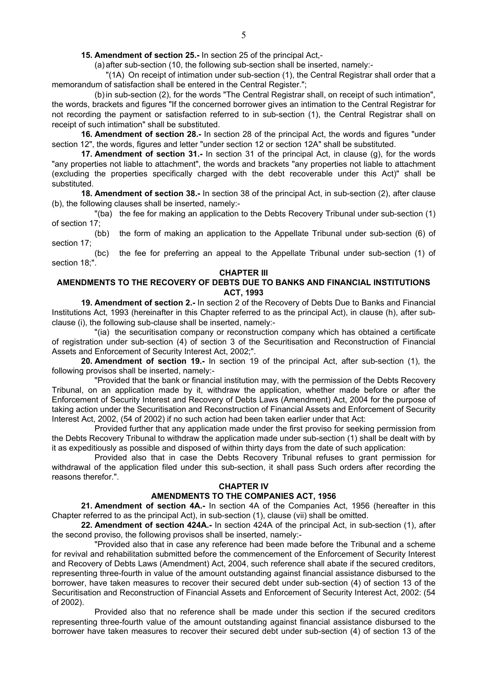**15. Amendment of section 25.-** In section 25 of the principal Act,-

(a) after sub-section (10, the following sub-section shall be inserted, namely:-

"(1A) On receipt of intimation under sub-section (1), the Central Registrar shall order that a memorandum of satisfaction shall be entered in the Central Register.";

(b) in sub-section (2), for the words "The Central Registrar shall, on receipt of such intimation", the words, brackets and figures "If the concerned borrower gives an intimation to the Central Registrar for not recording the payment or satisfaction referred to in sub-section (1), the Central Registrar shall on receipt of such intimation" shall be substituted.

**16. Amendment of section 28.-** In section 28 of the principal Act, the words and figures "under section 12", the words, figures and letter "under section 12 or section 12A" shall be substituted.

**17. Amendment of section 31.-** In section 31 of the principal Act, in clause (g), for the words "any properties not liable to attachment", the words and brackets "any properties not liable to attachment (excluding the properties specifically charged with the debt recoverable under this Act)" shall be substituted.

**18. Amendment of section 38.-** In section 38 of the principal Act, in sub-section (2), after clause (b), the following clauses shall be inserted, namely:-

"(ba) the fee for making an application to the Debts Recovery Tribunal under sub-section (1) of section 17;

(bb) the form of making an application to the Appellate Tribunal under sub-section (6) of section 17;

(bc) the fee for preferring an appeal to the Appellate Tribunal under sub-section (1) of section 18;".

#### **CHAPTER III**

### **AMENDMENTS TO THE RECOVERY OF DEBTS DUE TO BANKS AND FINANCIAL INSTITUTIONS ACT, 1993**

**19. Amendment of section 2.-** In section 2 of the Recovery of Debts Due to Banks and Financial Institutions Act, 1993 (hereinafter in this Chapter referred to as the principal Act), in clause (h), after subclause (i), the following sub-clause shall be inserted, namely:-

"(ia) the securitisation company or reconstruction company which has obtained a certificate of registration under sub-section (4) of section 3 of the Securitisation and Reconstruction of Financial Assets and Enforcement of Security Interest Act, 2002;".

**20. Amendment of section 19.-** In section 19 of the principal Act, after sub-section (1), the following provisos shall be inserted, namely:-

"Provided that the bank or financial institution may, with the permission of the Debts Recovery Tribunal, on an application made by it, withdraw the application, whether made before or after the Enforcement of Security Interest and Recovery of Debts Laws (Amendment) Act, 2004 for the purpose of taking action under the Securitisation and Reconstruction of Financial Assets and Enforcement of Security Interest Act, 2002, (54 of 2002) if no such action had been taken earlier under that Act:

Provided further that any application made under the first proviso for seeking permission from the Debts Recovery Tribunal to withdraw the application made under sub-section (1) shall be dealt with by it as expeditiously as possible and disposed of within thirty days from the date of such application:

Provided also that in case the Debts Recovery Tribunal refuses to grant permission for withdrawal of the application filed under this sub-section, it shall pass Such orders after recording the reasons therefor.".

#### **CHAPTER IV**

### **AMENDMENTS TO THE COMPANIES ACT, 1956**

**21. Amendment of section 4A.-** In section 4A of the Companies Act, 1956 (hereafter in this Chapter referred to as the principal Act), in sub-section (1), clause (vii) shall be omitted.

**22. Amendment of section 424A.-** In section 424A of the principal Act, in sub-section (1), after the second proviso, the following provisos shall be inserted, namely:-

"Provided also that in case any reference had been made before the Tribunal and a scheme for revival and rehabilitation submitted before the commencement of the Enforcement of Security Interest and Recovery of Debts Laws (Amendment) Act, 2004, such reference shall abate if the secured creditors, representing three-fourth in value of the amount outstanding against financial assistance disbursed to the borrower, have taken measures to recover their secured debt under sub-section (4) of section 13 of the Securitisation and Reconstruction of Financial Assets and Enforcement of Security Interest Act, 2002: (54 of 2002).

Provided also that no reference shall be made under this section if the secured creditors representing three-fourth value of the amount outstanding against financial assistance disbursed to the borrower have taken measures to recover their secured debt under sub-section (4) of section 13 of the